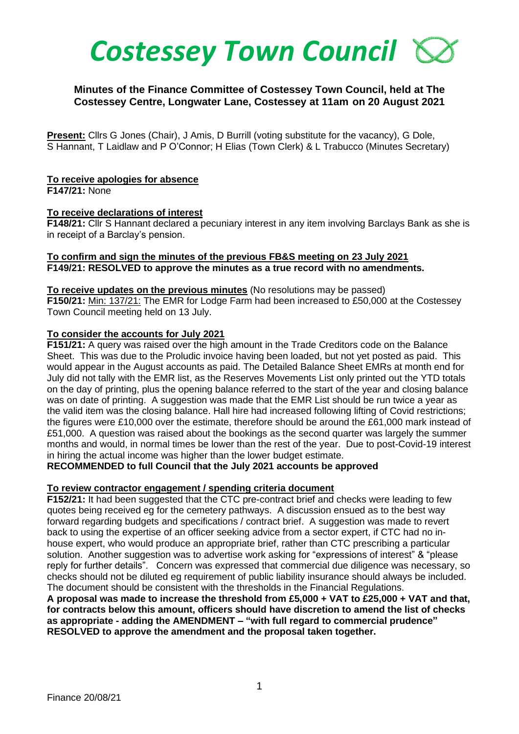# *Costessey Town Council*

## **Minutes of the Finance Committee of Costessey Town Council, held at The Costessey Centre, Longwater Lane, Costessey at 11am on 20 August 2021**

**Present:** Cllrs G Jones (Chair), J Amis, D Burrill (voting substitute for the vacancy), G Dole, S Hannant, T Laidlaw and P O'Connor; H Elias (Town Clerk) & L Trabucco (Minutes Secretary)

#### **To receive apologies for absence**

**F147/21:** None

#### **To receive declarations of interest**

**F148/21:** Cllr S Hannant declared a pecuniary interest in any item involving Barclays Bank as she is in receipt of a Barclay's pension.

## **To confirm and sign the minutes of the previous FB&S meeting on 23 July 2021 F149/21: RESOLVED to approve the minutes as a true record with no amendments.**

#### **To receive updates on the previous minutes** (No resolutions may be passed)

**F150/21:** Min: 137/21: The EMR for Lodge Farm had been increased to £50,000 at the Costessey Town Council meeting held on 13 July.

## **To consider the accounts for July 2021**

**F151/21:** A query was raised over the high amount in the Trade Creditors code on the Balance Sheet. This was due to the Proludic invoice having been loaded, but not yet posted as paid. This would appear in the August accounts as paid. The Detailed Balance Sheet EMRs at month end for July did not tally with the EMR list, as the Reserves Movements List only printed out the YTD totals on the day of printing, plus the opening balance referred to the start of the year and closing balance was on date of printing. A suggestion was made that the EMR List should be run twice a year as the valid item was the closing balance. Hall hire had increased following lifting of Covid restrictions; the figures were £10,000 over the estimate, therefore should be around the £61,000 mark instead of £51,000. A question was raised about the bookings as the second quarter was largely the summer months and would, in normal times be lower than the rest of the year. Due to post-Covid-19 interest in hiring the actual income was higher than the lower budget estimate.

**RECOMMENDED to full Council that the July 2021 accounts be approved**

## **To review contractor engagement / spending criteria document**

**F152/21:** It had been suggested that the CTC pre-contract brief and checks were leading to few quotes being received eg for the cemetery pathways. A discussion ensued as to the best way forward regarding budgets and specifications / contract brief. A suggestion was made to revert back to using the expertise of an officer seeking advice from a sector expert, if CTC had no inhouse expert, who would produce an appropriate brief, rather than CTC prescribing a particular solution. Another suggestion was to advertise work asking for "expressions of interest" & "please reply for further details". Concern was expressed that commercial due diligence was necessary, so checks should not be diluted eg requirement of public liability insurance should always be included. The document should be consistent with the thresholds in the Financial Regulations.

**A proposal was made to increase the threshold from £5,000 + VAT to £25,000 + VAT and that, for contracts below this amount, officers should have discretion to amend the list of checks as appropriate - adding the AMENDMENT – "with full regard to commercial prudence" RESOLVED to approve the amendment and the proposal taken together.**